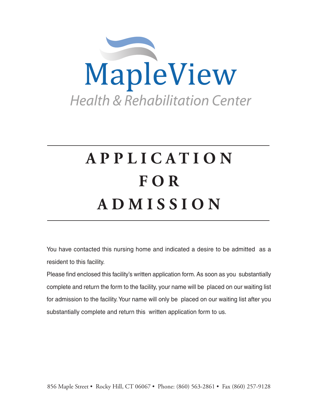

# **A P P L I C A T I O N F O R A D M I S S I O N**

You have contacted this nursing home and indicated a desire to be admitted as a resident to this facility.

Please find enclosed this facility's written application form. As soon as you substantially complete and return the form to the facility, your name will be placed on our waiting list for admission to the facility. Your name will only be placed on our waiting list after you substantially complete and return this written application form to us.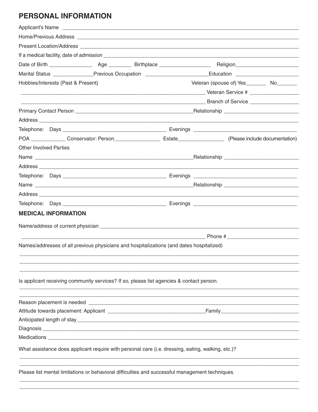## **PERSONAL INFORMATION**

|                               |                                                                                                   |  | Marital Status ________________Previous Occupation _____________________________Education ____________________            |  |
|-------------------------------|---------------------------------------------------------------------------------------------------|--|---------------------------------------------------------------------------------------------------------------------------|--|
|                               | Hobbies/Interests (Past & Present)                                                                |  | Veteran (spouse of) Yes___________ No_________                                                                            |  |
|                               |                                                                                                   |  | <b>Example 2008 and 2009 and 2009 and 2009 and 2009 and 2009 and 2009 and 2009 and 2009 and 2009 and 2009 and 200</b>     |  |
|                               |                                                                                                   |  |                                                                                                                           |  |
|                               |                                                                                                   |  |                                                                                                                           |  |
|                               |                                                                                                   |  |                                                                                                                           |  |
|                               |                                                                                                   |  |                                                                                                                           |  |
|                               |                                                                                                   |  | POA _______________Conservator: Person________________________Estate_______________________(Please include documentation) |  |
| <b>Other Involved Parties</b> |                                                                                                   |  |                                                                                                                           |  |
|                               |                                                                                                   |  |                                                                                                                           |  |
|                               |                                                                                                   |  |                                                                                                                           |  |
|                               |                                                                                                   |  |                                                                                                                           |  |
|                               |                                                                                                   |  |                                                                                                                           |  |
|                               |                                                                                                   |  |                                                                                                                           |  |
|                               |                                                                                                   |  |                                                                                                                           |  |
|                               | <b>MEDICAL INFORMATION</b>                                                                        |  |                                                                                                                           |  |
|                               |                                                                                                   |  |                                                                                                                           |  |
|                               |                                                                                                   |  |                                                                                                                           |  |
|                               |                                                                                                   |  |                                                                                                                           |  |
|                               | Names/addresses of all previous physicians and hospitalizations (and dates hospitalized)          |  |                                                                                                                           |  |
|                               |                                                                                                   |  |                                                                                                                           |  |
|                               |                                                                                                   |  |                                                                                                                           |  |
|                               | Is applicant receiving community services? If so, please list agencies & contact person.          |  |                                                                                                                           |  |
|                               |                                                                                                   |  |                                                                                                                           |  |
|                               |                                                                                                   |  |                                                                                                                           |  |
|                               |                                                                                                   |  |                                                                                                                           |  |
|                               |                                                                                                   |  |                                                                                                                           |  |
|                               |                                                                                                   |  |                                                                                                                           |  |
|                               |                                                                                                   |  |                                                                                                                           |  |
|                               |                                                                                                   |  |                                                                                                                           |  |
|                               | What assistance does applicant require with personal care (i.e. dressing, eating, walking, etc.)? |  |                                                                                                                           |  |
|                               |                                                                                                   |  |                                                                                                                           |  |
|                               | Please list mental limitations or behavioral difficulties and successful management techniques.   |  |                                                                                                                           |  |
|                               |                                                                                                   |  |                                                                                                                           |  |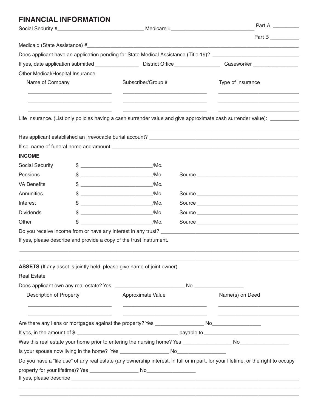| <b>FINANCIAL INFORMATION</b>      |    |                                                                                                                     |  | Part A                                                                                                                             |
|-----------------------------------|----|---------------------------------------------------------------------------------------------------------------------|--|------------------------------------------------------------------------------------------------------------------------------------|
|                                   |    |                                                                                                                     |  | Part B                                                                                                                             |
|                                   |    |                                                                                                                     |  |                                                                                                                                    |
|                                   |    |                                                                                                                     |  | Does applicant have an application pending for State Medical Assistance (Title 19)? __________________________                     |
|                                   |    |                                                                                                                     |  |                                                                                                                                    |
| Other Medical/Hospital Insurance: |    |                                                                                                                     |  |                                                                                                                                    |
| Name of Company                   |    | Subscriber/Group #                                                                                                  |  | Type of Insurance                                                                                                                  |
|                                   |    |                                                                                                                     |  |                                                                                                                                    |
|                                   |    |                                                                                                                     |  | Life Insurance. (List only policies having a cash surrender value and give approximate cash surrender value): _________            |
|                                   |    |                                                                                                                     |  |                                                                                                                                    |
|                                   |    |                                                                                                                     |  |                                                                                                                                    |
| <b>INCOME</b>                     |    |                                                                                                                     |  |                                                                                                                                    |
| <b>Social Security</b>            |    |                                                                                                                     |  |                                                                                                                                    |
| Pensions                          |    | $$$ $/Mo.$                                                                                                          |  |                                                                                                                                    |
| <b>VA Benefits</b>                |    |                                                                                                                     |  |                                                                                                                                    |
| Annunities                        |    | $$$ /Mo.                                                                                                            |  |                                                                                                                                    |
| Interest                          |    | $$$ /Mo.                                                                                                            |  |                                                                                                                                    |
| <b>Dividends</b>                  |    | /Mo.                                                                                                                |  |                                                                                                                                    |
| Other                             | \$ | $/MO$ , $\sim$                                                                                                      |  |                                                                                                                                    |
|                                   |    |                                                                                                                     |  |                                                                                                                                    |
|                                   |    | If yes, please describe and provide a copy of the trust instrument.                                                 |  |                                                                                                                                    |
|                                   |    |                                                                                                                     |  |                                                                                                                                    |
|                                   |    | ASSETS (If any asset is jointly held, please give name of joint owner).                                             |  |                                                                                                                                    |
| <b>Real Estate</b>                |    |                                                                                                                     |  |                                                                                                                                    |
|                                   |    |                                                                                                                     |  |                                                                                                                                    |
| <b>Description of Property</b>    |    | Approximate Value                                                                                                   |  | Name(s) on Deed                                                                                                                    |
|                                   |    | <u> 1980 - Johann John Stone, mars eta bat eta bat eta bat eta bat eta bat ez arte eta bat ez arte eta bat ez a</u> |  |                                                                                                                                    |
|                                   |    |                                                                                                                     |  |                                                                                                                                    |
|                                   |    |                                                                                                                     |  |                                                                                                                                    |
|                                   |    |                                                                                                                     |  |                                                                                                                                    |
|                                   |    |                                                                                                                     |  |                                                                                                                                    |
|                                   |    |                                                                                                                     |  | Do you have a "life use" of any real estate (any ownership interest, in full or in part, for your lifetime, or the right to occupy |
|                                   |    |                                                                                                                     |  |                                                                                                                                    |
|                                   |    |                                                                                                                     |  |                                                                                                                                    |

 $\_$  ,  $\_$  ,  $\_$  ,  $\_$  ,  $\_$  ,  $\_$  ,  $\_$  ,  $\_$  ,  $\_$  ,  $\_$  ,  $\_$  ,  $\_$  ,  $\_$  ,  $\_$  ,  $\_$  ,  $\_$  ,  $\_$  ,  $\_$  ,  $\_$  ,  $\_$  ,  $\_$  ,  $\_$  ,  $\_$  ,  $\_$  ,  $\_$  ,  $\_$  ,  $\_$  ,  $\_$  ,  $\_$  ,  $\_$  ,  $\_$  ,  $\_$  ,  $\_$  ,  $\_$  ,  $\_$  ,  $\_$  ,  $\_$  ,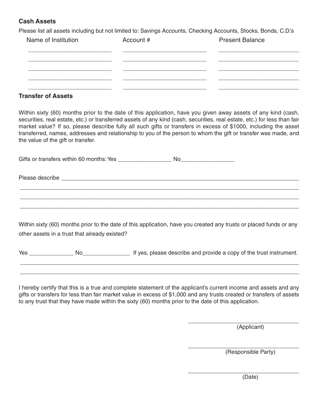#### **Cash Assets**

Please list all assets including but not limited to: Savings Accounts, Checking Accounts, Stocks, Bonds, C.D.'s

| Name of Institution | Account # | <b>Present Balance</b> |
|---------------------|-----------|------------------------|
|                     |           |                        |
|                     |           |                        |
|                     |           |                        |
|                     |           |                        |

#### **Transfer of Assets**

Within sixty (60) months prior to the date of this application, have you given away assets of any kind (cash, securities, real estate, etc.) or transferred assets of any kind (cash, securities, real estate, etc.) for less than fair market value? If so, please describe fully all such gifts or transfers in excess of \$1000, including the asset transferred, names, addresses and relationship to you of the person to whom the gift or transfer was made, and the value of the gift or transfer.

| Gifts or transfers within 60 months: Yes | NC. |
|------------------------------------------|-----|
|------------------------------------------|-----|

\_\_\_\_\_\_\_\_\_\_\_\_\_\_\_\_\_\_\_\_\_\_\_\_\_\_\_\_\_\_\_\_\_\_\_\_\_\_\_\_\_\_\_\_\_\_\_\_\_\_\_\_\_\_\_\_\_\_\_\_\_\_\_\_\_\_\_\_\_\_\_\_\_\_\_\_\_\_\_\_\_\_\_\_\_\_\_\_ \_\_\_\_\_\_\_\_\_\_\_\_\_\_\_\_\_\_\_\_\_\_\_\_\_\_\_\_\_\_\_\_\_\_\_\_\_\_\_\_\_\_\_\_\_\_\_\_\_\_\_\_\_\_\_\_\_\_\_\_\_\_\_\_\_\_\_\_\_\_\_\_\_\_\_\_\_\_\_\_\_\_\_\_\_\_\_\_ \_\_\_\_\_\_\_\_\_\_\_\_\_\_\_\_\_\_\_\_\_\_\_\_\_\_\_\_\_\_\_\_\_\_\_\_\_\_\_\_\_\_\_\_\_\_\_\_\_\_\_\_\_\_\_\_\_\_\_\_\_\_\_\_\_\_\_\_\_\_\_\_\_\_\_\_\_\_\_\_\_\_\_\_\_\_\_\_

Please describe \_\_\_\_\_\_\_\_\_\_\_\_\_\_\_\_\_\_\_\_\_\_\_\_\_\_\_\_\_\_\_\_\_\_\_\_\_\_\_\_\_\_\_\_\_\_\_\_\_\_\_\_\_\_\_\_\_\_\_\_\_\_\_\_\_\_\_\_\_\_\_\_\_\_\_

Within sixty (60) months prior to the date of this application, have you created any trusts or placed funds or any other assets in a trust that already existed?

Yes \_\_\_\_\_\_\_\_\_\_\_\_\_\_ No\_\_\_\_\_\_\_\_\_\_\_\_\_\_\_ If yes, please describe and provide a copy of the trust instrument. \_\_\_\_\_\_\_\_\_\_\_\_\_\_\_\_\_\_\_\_\_\_\_\_\_\_\_\_\_\_\_\_\_\_\_\_\_\_\_\_\_\_\_\_\_\_\_\_\_\_\_\_\_\_\_\_\_\_\_\_\_\_\_\_\_\_\_\_\_\_\_\_\_\_\_\_\_\_\_\_\_\_\_\_\_\_\_\_

\_\_\_\_\_\_\_\_\_\_\_\_\_\_\_\_\_\_\_\_\_\_\_\_\_\_\_\_\_\_\_\_\_\_\_\_\_\_\_\_\_\_\_\_\_\_\_\_\_\_\_\_\_\_\_\_\_\_\_\_\_\_\_\_\_\_\_\_\_\_\_\_\_\_\_\_\_\_\_\_\_\_\_\_\_\_\_\_

I hereby certify that this is a true and complete statement of the applicant's current income and assets and any gifts or transfers for less than fair market value in excess of \$1,000 and any trusts created or transfers of assets to any trust that they have made within the sixty (60) months prior to the date of this application.

> \_\_\_\_\_\_\_\_\_\_\_\_\_\_\_\_\_\_\_\_\_\_\_\_\_\_\_\_\_\_\_\_\_\_\_ (Applicant)

> \_\_\_\_\_\_\_\_\_\_\_\_\_\_\_\_\_\_\_\_\_\_\_\_\_\_\_\_\_\_\_\_\_\_\_ (Responsible Party)

> \_\_\_\_\_\_\_\_\_\_\_\_\_\_\_\_\_\_\_\_\_\_\_\_\_\_\_\_\_\_\_\_\_\_\_ (Date)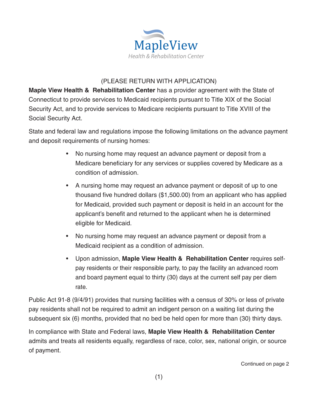

### (PLEASE RETURN WITH APPLICATION)

**Maple View Health & Rehabilitation Center** has a provider agreement with the State of Connecticut to provide services to Medicaid recipients pursuant to Title XIX of the Social Security Act, and to provide services to Medicare recipients pursuant to Title XVIII of the Social Security Act.

State and federal law and regulations impose the following limitations on the advance payment and deposit requirements of nursing homes:

- No nursing home may request an advance payment or deposit from a Medicare beneficiary for any services or supplies covered by Medicare as a condition of admission.
- A nursing home may request an advance payment or deposit of up to one thousand five hundred dollars (\$1,500.00) from an applicant who has applied for Medicaid, provided such payment or deposit is held in an account for the applicant's benefit and returned to the applicant when he is determined eligible for Medicaid.
- No nursing home may request an advance payment or deposit from a Medicaid recipient as a condition of admission.
- Upon admission, **Maple View Health & Rehabilitation Center** requires selfpay residents or their responsible party, to pay the facility an advanced room and board payment equal to thirty (30) days at the current self pay per diem rate.

Public Act 91-8 (9/4/91) provides that nursing facilities with a census of 30% or less of private pay residents shall not be required to admit an indigent person on a waiting list during the subsequent six (6) months, provided that no bed be held open for more than (30) thirty days.

In compliance with State and Federal laws, **Maple View Health & Rehabilitation Center** admits and treats all residents equally, regardless of race, color, sex, national origin, or source of payment.

Continued on page 2